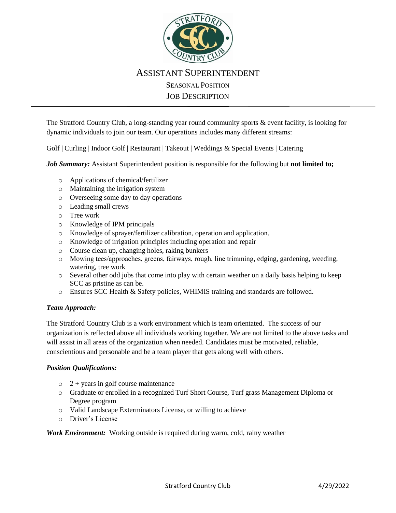

## ASSISTANT SUPERINTENDENT SEASONAL POSITION JOB DESCRIPTION

The Stratford Country Club, a long-standing year round community sports & event facility, is looking for dynamic individuals to join our team. Our operations includes many different streams:

Golf | Curling | Indoor Golf | Restaurant | Takeout | Weddings & Special Events | Catering

*Job Summary:* Assistant Superintendent position is responsible for the following but **not limited to;**

- o Applications of chemical/fertilizer
- o Maintaining the irrigation system
- o Overseeing some day to day operations
- o Leading small crews
- o Tree work
- o Knowledge of IPM principals
- o Knowledge of sprayer/fertilizer calibration, operation and application.
- o Knowledge of irrigation principles including operation and repair
- o Course clean up, changing holes, raking bunkers
- o Mowing tees/approaches, greens, fairways, rough, line trimming, edging, gardening, weeding, watering, tree work
- o Several other odd jobs that come into play with certain weather on a daily basis helping to keep SCC as pristine as can be.
- o Ensures SCC Health & Safety policies, WHIMIS training and standards are followed.

## *Team Approach:*

The Stratford Country Club is a work environment which is team orientated. The success of our organization is reflected above all individuals working together. We are not limited to the above tasks and will assist in all areas of the organization when needed. Candidates must be motivated, reliable, conscientious and personable and be a team player that gets along well with others.

## *Position Qualifications:*

- $\circ$  2 + years in golf course maintenance
- o Graduate or enrolled in a recognized Turf Short Course, Turf grass Management Diploma or Degree program
- o Valid Landscape Exterminators License, or willing to achieve
- o Driver's License

## *Work Environment:* Working outside is required during warm, cold, rainy weather